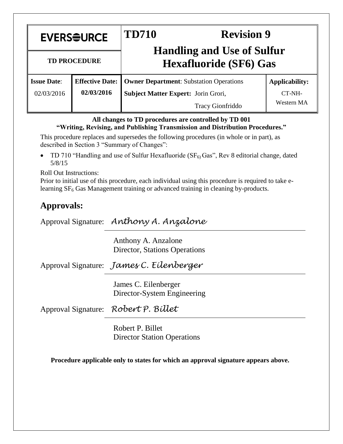| <b>EVERSOURCE</b>   |                        | <b>TD710</b><br><b>Revision 9</b><br><b>Handling and Use of Sulfur</b> |                             |  |
|---------------------|------------------------|------------------------------------------------------------------------|-----------------------------|--|
| <b>TD PROCEDURE</b> |                        | <b>Hexafluoride (SF6) Gas</b>                                          |                             |  |
| <b>Issue Date:</b>  | <b>Effective Date:</b> | <b>Owner Department:</b> Substation Operations                         | <b>Applicability:</b>       |  |
| 02/03/2016          | 02/03/2016             | Subject Matter Expert: Jorin Grori,<br>Tracy Gionfriddo                | CT-NH-<br><b>Western MA</b> |  |

### **All changes to TD procedures are controlled by TD 001 "Writing, Revising, and Publishing Transmission and Distribution Procedures."**

This procedure replaces and supersedes the following procedures (in whole or in part), as described in Section 3 "Summary of Changes":

TD 710 "Handling and use of Sulfur Hexafluoride ( $SF<sub>6</sub>$ ) Gas", Rev 8 editorial change, dated 5/8/15

Roll Out Instructions:

Prior to initial use of this procedure, each individual using this procedure is required to take elearning SF<sub>6</sub> Gas Management training or advanced training in cleaning by-products.

# **Approvals:**

Approval Signature: *Anthony A. Anzalone*

Anthony A. Anzalone Director, Stations Operations

Approval Signature: *James C. Eilenberger*

James C. Eilenberger Director-System Engineering

Approval Signature: *Robert P. Billet*

Robert P. Billet Director Station Operations

**Procedure applicable only to states for which an approval signature appears above.**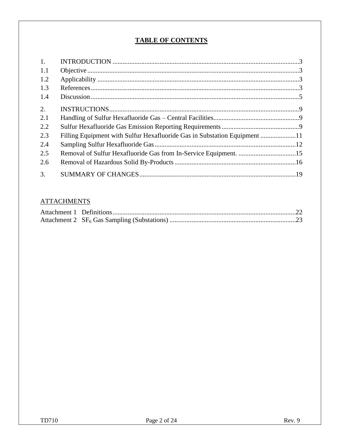# **TABLE OF CONTENTS**

| 1.  |                                                                        |  |
|-----|------------------------------------------------------------------------|--|
| 1.1 |                                                                        |  |
| 1.2 |                                                                        |  |
| 1.3 |                                                                        |  |
| 1.4 |                                                                        |  |
| 2.  |                                                                        |  |
| 2.1 |                                                                        |  |
| 2.2 |                                                                        |  |
| 2.3 | Filling Equipment with Sulfur Hexafluoride Gas in Substation Equipment |  |
| 2.4 |                                                                        |  |
| 2.5 | Removal of Sulfur Hexafluoride Gas from In-Service Equipment. 15       |  |
| 2.6 |                                                                        |  |
| 3.  |                                                                        |  |

## **ATTACHMENTS**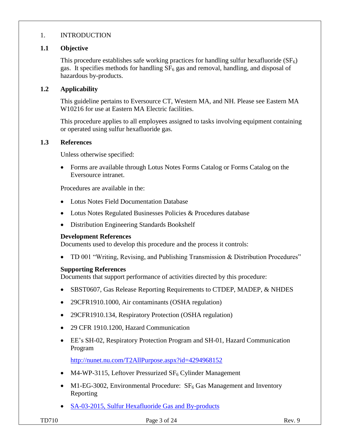## 1. INTRODUCTION

### **1.1 Objective**

This procedure establishes safe working practices for handling sulfur hexafluoride  $(SF_6)$ gas. It specifies methods for handling  $SF<sub>6</sub>$  gas and removal, handling, and disposal of hazardous by-products.

### **1.2 Applicability**

This guideline pertains to Eversource CT, Western MA, and NH. Please see Eastern MA W10216 for use at Eastern MA Electric facilities.

This procedure applies to all employees assigned to tasks involving equipment containing or operated using sulfur hexafluoride gas.

### **1.3 References**

Unless otherwise specified:

 Forms are available through Lotus Notes Forms Catalog or Forms Catalog on the Eversource intranet.

Procedures are available in the:

- Lotus Notes Field Documentation Database
- Lotus Notes Regulated Businesses Policies & Procedures database
- Distribution Engineering Standards Bookshelf

### **Development References**

Documents used to develop this procedure and the process it controls:

• TD 001 "Writing, Revising, and Publishing Transmission & Distribution Procedures"

#### **Supporting References**

Documents that support performance of activities directed by this procedure:

- SBST0607, Gas Release Reporting Requirements to CTDEP, MADEP, & NHDES
- 29CFR1910.1000, Air contaminants (OSHA regulation)
- 29CFR1910.134, Respiratory Protection (OSHA regulation)
- 29 CFR 1910.1200, Hazard Communication
- EE's SH-02, Respiratory Protection Program and SH-01, Hazard Communication Program

<http://nunet.nu.com/T2AllPurpose.aspx?id=4294968152>

- M4-WP-3115, Leftover Pressurized  $SF_6$  Cylinder Management
- M1-EG-3002, Environmental Procedure:  $SF<sub>6</sub>$  Gas Management and Inventory Reporting
- [SA-03-2015, Sulfur Hexafluoride Gas and By-products](http://nunotes1.nu.com/apps/clp/clpprocedures.nsf/0/852577510058BB3685257E8C0065652E/$File/AWIS9YQP99.PDF?OpenElement)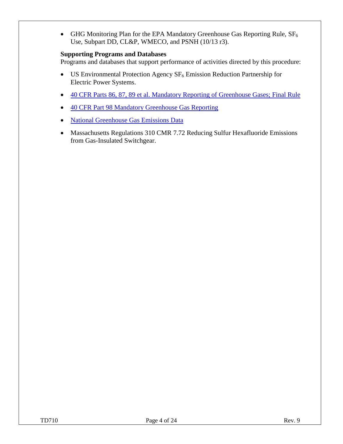GHG Monitoring Plan for the EPA Mandatory Greenhouse Gas Reporting Rule,  $SF<sub>6</sub>$ Use, Subpart DD, CL&P, WMECO, and PSNH (10/13 r3).

### **Supporting Programs and Databases**

Programs and databases that support performance of activities directed by this procedure:

- $\bullet$  US Environmental Protection Agency SF<sub>6</sub> Emission Reduction Partnership for Electric Power Systems.
- [40 CFR Parts 86, 87, 89 et al. Mandatory Reporting of Greenhouse Gases; Final Rule](http://www.environmentallawnews.com/files/2009/09/FinalMandatoryGHGPreamble.pdf)
- [40 CFR Part 98 Mandatory Greenhouse Gas Reporting](http://www.ecfr.gov/cgi-bin/text-idx?SID=a1051230143a729adee6a9dd6bb3ae7d&node=40:22.0.1.1.3&rgn=div5)
- [National Greenhouse Gas Emissions Data](http://www.epa.gov/climatechange/ghgemissions/usinventoryreport.html)
- Massachusetts Regulations 310 CMR 7.72 Reducing Sulfur Hexafluoride Emissions from Gas-Insulated Switchgear.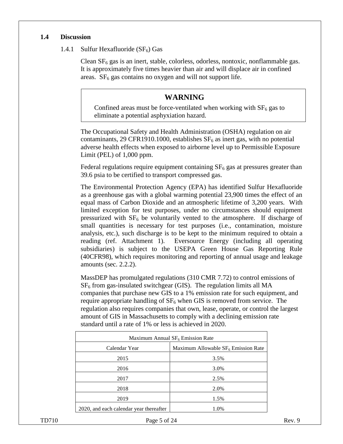### **1.4 Discussion**

### 1.4.1 Sulfur Hexafluoride  $(SF_6)$  Gas

Clean  $SF<sub>6</sub>$  gas is an inert, stable, colorless, odorless, nontoxic, nonflammable gas. It is approximately five times heavier than air and will displace air in confined areas.  $SF<sub>6</sub>$  gas contains no oxygen and will not support life.

## **WARNING**

Confined areas must be force-ventilated when working with  $SF<sub>6</sub>$  gas to eliminate a potential asphyxiation hazard.

The Occupational Safety and Health Administration (OSHA) regulation on air contaminants, 29 CFR1910.1000, establishes  $SF<sub>6</sub>$  as inert gas, with no potential adverse health effects when exposed to airborne level up to Permissible Exposure Limit (PEL) of 1,000 ppm.

Federal regulations require equipment containing  $SF<sub>6</sub>$  gas at pressures greater than 39.6 psia to be certified to transport compressed gas.

The Environmental Protection Agency (EPA) has identified Sulfur Hexafluoride as a greenhouse gas with a global warming potential 23,900 times the effect of an equal mass of Carbon Dioxide and an atmospheric lifetime of 3,200 years. With limited exception for test purposes, under no circumstances should equipment pressurized with  $SF<sub>6</sub>$  be voluntarily vented to the atmosphere. If discharge of small quantities is necessary for test purposes (i.e., contamination, moisture analysis, etc.), such discharge is to be kept to the minimum required to obtain a reading (ref. Attachment 1). Eversource Energy (including all operating subsidiaries) is subject to the USEPA Green House Gas Reporting Rule (40CFR98), which requires monitoring and reporting of annual usage and leakage amounts (sec. 2.2.2).

MassDEP has promulgated regulations (310 CMR 7.72) to control emissions of  $SF<sub>6</sub>$  from gas-insulated switchgear (GIS). The regulation limits all MA companies that purchase new GIS to a 1% emission rate for such equipment, and require appropriate handling of  $SF<sub>6</sub>$  when GIS is removed from service. The regulation also requires companies that own, lease, operate, or control the largest amount of GIS in Massachusetts to comply with a declining emission rate standard until a rate of 1% or less is achieved in 2020.

| Maximum Annual $SF6$ Emission Rate      |                                       |  |  |  |
|-----------------------------------------|---------------------------------------|--|--|--|
| Calendar Year                           | Maximum Allowable $SF6$ Emission Rate |  |  |  |
| 2015                                    | 3.5%                                  |  |  |  |
| 2016                                    | 3.0%                                  |  |  |  |
| 2017                                    | 2.5%                                  |  |  |  |
| 2018                                    | 2.0%                                  |  |  |  |
| 2019                                    | 1.5%                                  |  |  |  |
| 2020, and each calendar year thereafter | 1.0%                                  |  |  |  |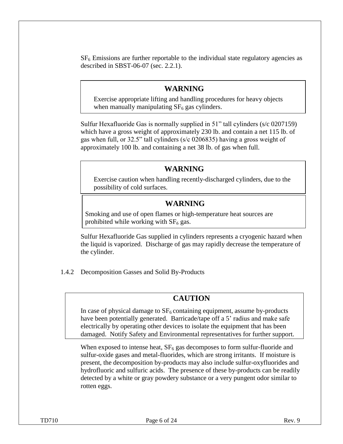$SF<sub>6</sub>$  Emissions are further reportable to the individual state regulatory agencies as described in SBST-06-07 (sec. 2.2.1).

## **WARNING**

Exercise appropriate lifting and handling procedures for heavy objects when manually manipulating  $SF<sub>6</sub>$  gas cylinders.

Sulfur Hexafluoride Gas is normally supplied in 51" tall cylinders (s/c 0207159) which have a gross weight of approximately 230 lb. and contain a net 115 lb. of gas when full, or 32.5" tall cylinders (s/c 0206835) having a gross weight of approximately 100 lb. and containing a net 38 lb. of gas when full.

## **WARNING**

Exercise caution when handling recently-discharged cylinders, due to the possibility of cold surfaces.

# **WARNING**

Smoking and use of open flames or high-temperature heat sources are prohibited while working with  $SF<sub>6</sub>$  gas.

Sulfur Hexafluoride Gas supplied in cylinders represents a cryogenic hazard when the liquid is vaporized. Discharge of gas may rapidly decrease the temperature of the cylinder.

1.4.2 Decomposition Gasses and Solid By-Products

# **CAUTION**

In case of physical damage to  $SF<sub>6</sub>$  containing equipment, assume by-products have been potentially generated. Barricade/tape off a 5' radius and make safe electrically by operating other devices to isolate the equipment that has been damaged. Notify Safety and Environmental representatives for further support.

When exposed to intense heat,  $SF<sub>6</sub>$  gas decomposes to form sulfur-fluoride and sulfur-oxide gases and metal-fluorides, which are strong irritants. If moisture is present, the decomposition by-products may also include sulfur-oxyfluorides and hydrofluoric and sulfuric acids. The presence of these by-products can be readily detected by a white or gray powdery substance or a very pungent odor similar to rotten eggs.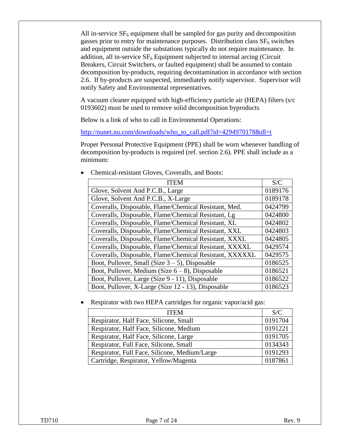All in-service  $SF_6$  equipment shall be sampled for gas purity and decomposition gasses prior to entry for maintenance purposes. Distribution class  $SF<sub>6</sub>$  switches and equipment outside the substations typically do not require maintenance. In addition, all in-service  $SF<sub>6</sub>$  Equipment subjected to internal arcing (Circuit Breakers, Circuit Switchers, or faulted equipment) shall be assumed to contain decomposition by-products, requiring decontamination in accordance with section 2.6. If by-products are suspected, immediately notify supervisor. Supervisor will notify Safety and Environmental representatives.

A vacuum cleaner equipped with high-efficiency particle air (HEPA) filters (s/c 0193602) must be used to remove solid decomposition byproducts

Below is a link of who to call in Environmental Operations:

[http://nunet.nu.com/downloads/who\\_to\\_call.pdf?id=4294970178&dl=t](http://nunet.nu.com/downloads/who_to_call.pdf?id=4294970178&dl=t)

Proper Personal Protective Equipment (PPE) shall be worn whenever handling of decomposition by-products is required (ref. section 2.6). PPE shall include as a minimum:

| <b>ITEM</b>                                             | S/C     |
|---------------------------------------------------------|---------|
| Glove, Solvent And P.C.B., Large                        | 0189176 |
| Glove, Solvent And P.C.B., X-Large                      | 0189178 |
| Coveralls, Disposable, Flame/Chemical Resistant, Med.   | 0424799 |
| Coveralls, Disposable, Flame/Chemical Resistant, Lg     | 0424800 |
| Coveralls, Disposable, Flame/Chemical Resistant, XL     | 0424802 |
| Coveralls, Disposable, Flame/Chemical Resistant, XXL    | 0424803 |
| Coveralls, Disposable, Flame/Chemical Resistant, XXXL   | 0424805 |
| Coveralls, Disposable, Flame/Chemical Resistant, XXXXL  | 0429574 |
| Coveralls, Disposable, Flame/Chemical Resistant, XXXXXL | 0429575 |
| Boot, Pullover, Small (Size $3 - 5$ ), Disposable       | 0186525 |
| Boot, Pullover, Medium (Size $6-8$ ), Disposable        | 0186521 |
| Boot, Pullover, Large (Size 9 - 11), Disposable         | 0186522 |
| Boot, Pullover, X-Large (Size 12 - 13), Disposable      | 0186523 |

Chemical-resistant Gloves, Coveralls, and Boots:

Respirator with two HEPA cartridges for organic vapor/acid gas:

| <b>ITEM</b>                                   | S/C     |
|-----------------------------------------------|---------|
| Respirator, Half Face, Silicone, Small        | 0191704 |
| Respirator, Half Face, Silicone, Medium       | 0191221 |
| Respirator, Half Face, Silicone, Large        | 0191705 |
| Respirator, Full Face, Silicone, Small        | 0134343 |
| Respirator, Full Face, Silicone, Medium/Large | 0191293 |
| Cartridge, Respirator, Yellow/Magenta         | 0187861 |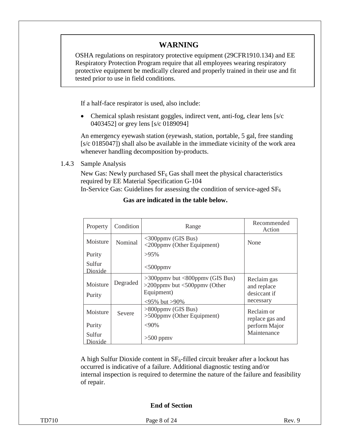# **WARNING**

OSHA regulations on respiratory protective equipment (29CFR1910.134) and EE Respiratory Protection Program require that all employees wearing respiratory protective equipment be medically cleared and properly trained in their use and fit tested prior to use in field conditions.

If a half-face respirator is used, also include:

• Chemical splash resistant goggles, indirect vent, anti-fog, clear lens [s/c] 0403452] or grey lens [s/c 0189094]

An emergency eyewash station (eyewash, station, portable, 5 gal, free standing [s/c 0185047]) shall also be available in the immediate vicinity of the work area whenever handling decomposition by-products.

1.4.3 Sample Analysis

New Gas: Newly purchased  $SF_6$  Gas shall meet the physical characteristics required by EE Material Specification G-104 In-Service Gas: Guidelines for assessing the condition of service-aged  $SF<sub>6</sub>$ 

| Property                    | Condition | Range                                                                                     | Recommended<br>Action                                   |
|-----------------------------|-----------|-------------------------------------------------------------------------------------------|---------------------------------------------------------|
| Moisture                    | Nominal   | $\langle$ 300ppmv (GIS Bus)<br>$\langle 200$ ppmv (Other Equipment)                       | None                                                    |
| Purity                      |           | $>95\%$                                                                                   |                                                         |
| Sulfur<br>Dioxide           |           | $<$ 500ppm $v$                                                                            |                                                         |
| Moisture<br>Purity          | Degraded  | $>$ 300ppmy but $<$ 800ppmy (GIS Bus)<br>$>$ 200ppmy but $<$ 500ppmy (Other<br>Equipment) | Reclaim gas<br>and replace<br>desiccant if<br>necessary |
| Moisture                    | Severe    | $\leq$ 95% but >90%<br>$>800$ ppmy (GIS Bus)<br>$>500$ ppmv (Other Equipment)             | Reclaim or<br>replace gas and                           |
| Purity<br>Sulfur<br>Dioxide |           | $<90\%$<br>$>500$ ppmv                                                                    | perform Major<br>Maintenance                            |

**Gas are indicated in the table below.**

A high Sulfur Dioxide content in  $SF_6$ -filled circuit breaker after a lockout has occurred is indicative of a failure. Additional diagnostic testing and/or internal inspection is required to determine the nature of the failure and feasibility of repair.

## **End of Section**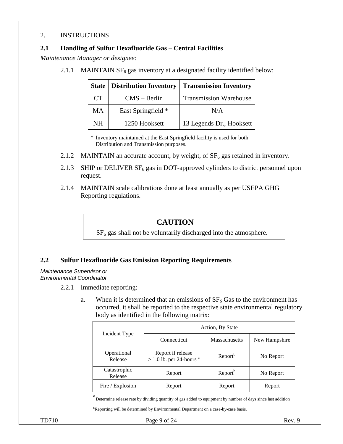### 2. INSTRUCTIONS

### **2.1 Handling of Sulfur Hexafluoride Gas – Central Facilities**

*Maintenance Manager or designee:*

2.1.1 MAINTAIN  $SF_6$  gas inventory at a designated facility identified below:

| <b>State</b> | Distribution Inventory | <b>Transmission Inventory</b> |
|--------------|------------------------|-------------------------------|
| <b>CT</b>    | $CMS - Berlin$         | <b>Transmission Warehouse</b> |
| <b>MA</b>    | East Springfield *     | N/A                           |
| <b>NH</b>    | 1250 Hooksett          | 13 Legends Dr., Hooksett      |

\* Inventory maintained at the East Springfield facility is used for both Distribution and Transmission purposes.

- 2.1.2 MAINTAIN an accurate account, by weight, of  $SF<sub>6</sub>$  gas retained in inventory.
- 2.1.3 SHIP or DELIVER  $SF_6$  gas in DOT-approved cylinders to district personnel upon request.
- 2.1.4 MAINTAIN scale calibrations done at least annually as per USEPA GHG Reporting regulations.

## **CAUTION**

 $SF<sub>6</sub>$  gas shall not be voluntarily discharged into the atmosphere.

### **2.2 Sulfur Hexafluoride Gas Emission Reporting Requirements**

*Maintenance Supervisor or Environmental Coordinator*

- 2.2.1 Immediate reporting:
	- a. When it is determined that an emissions of  $SF<sub>6</sub>$  Gas to the environment has occurred, it shall be reported to the respective state environmental regulatory body as identified in the following matrix:

|                         | Action, By State                                           |                      |               |  |
|-------------------------|------------------------------------------------------------|----------------------|---------------|--|
| Incident Type           | Connecticut                                                | <b>Massachusetts</b> | New Hampshire |  |
| Operational<br>Release  | Report if release<br>$> 1.0$ lb. per 24-hours <sup>a</sup> | Report <sup>b</sup>  | No Report     |  |
| Catastrophic<br>Release | Report                                                     | Report <sup>b</sup>  | No Report     |  |
| Fire / Explosion        | Report                                                     | Report               | Report        |  |

a<br>Determine release rate by dividing quantity of gas added to equipment by number of days since last addition

bReporting will be determined by Environmental Department on a case-by-case basis.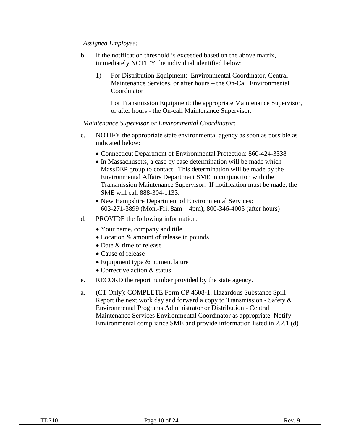#### *Assigned Employee:*

- b. If the notification threshold is exceeded based on the above matrix, immediately NOTIFY the individual identified below:
	- 1) For Distribution Equipment: Environmental Coordinator, Central Maintenance Services, or after hours – the On-Call Environmental **Coordinator**

For Transmission Equipment: the appropriate Maintenance Supervisor, or after hours - the On-call Maintenance Supervisor.

*Maintenance Supervisor or Environmental Coordinator:*

- c. NOTIFY the appropriate state environmental agency as soon as possible as indicated below:
	- Connecticut Department of Environmental Protection: 860-424-3338
	- In Massachusetts, a case by case determination will be made which MassDEP group to contact. This determination will be made by the Environmental Affairs Department SME in conjunction with the Transmission Maintenance Supervisor. If notification must be made, the SME will call 888-304-1133.
	- New Hampshire Department of Environmental Services: 603-271-3899 (Mon.-Fri. 8am – 4pm); 800-346-4005 (after hours)
- d. PROVIDE the following information:
	- Your name, company and title
	- Location & amount of release in pounds
	- Date & time of release
	- Cause of release
	- Equipment type & nomenclature
	- Corrective action & status
- e. RECORD the report number provided by the state agency.
- a. (CT Only): COMPLETE Form OP 4608-1: Hazardous Substance Spill Report the next work day and forward a copy to Transmission - Safety & Environmental Programs Administrator or Distribution - Central Maintenance Services Environmental Coordinator as appropriate. Notify Environmental compliance SME and provide information listed in 2.2.1 (d)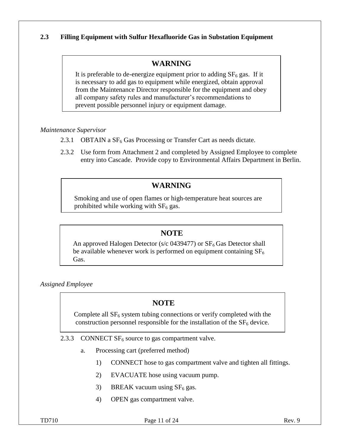## **2.3 Filling Equipment with Sulfur Hexafluoride Gas in Substation Equipment**

# **WARNING**

It is preferable to de-energize equipment prior to adding  $SF<sub>6</sub>$  gas. If it is necessary to add gas to equipment while energized, obtain approval from the Maintenance Director responsible for the equipment and obey all company safety rules and manufacturer's recommendations to prevent possible personnel injury or equipment damage.

*Maintenance Supervisor*

- 2.3.1 OBTAIN a  $SF_6$  Gas Processing or Transfer Cart as needs dictate.
- 2.3.2 Use form from Attachment 2 and completed by Assigned Employee to complete entry into Cascade. Provide copy to Environmental Affairs Department in Berlin.

# **WARNING**

Smoking and use of open flames or high-temperature heat sources are prohibited while working with  $SF<sub>6</sub>$  gas.

# **NOTE**

An approved Halogen Detector (s/c 0439477) or  $SF<sub>6</sub>$  Gas Detector shall be available whenever work is performed on equipment containing  $SF<sub>6</sub>$ Gas.

*Assigned Employee*

# **NOTE**

Complete all  $SF<sub>6</sub>$  system tubing connections or verify completed with the construction personnel responsible for the installation of the  $SF<sub>6</sub>$  device.

2.3.3 CONNECT  $SF_6$  source to gas compartment valve.

- a. Processing cart (preferred method)
	- 1) CONNECT hose to gas compartment valve and tighten all fittings.
	- 2) EVACUATE hose using vacuum pump.
	- 3) BREAK vacuum using  $SF<sub>6</sub>$  gas.
	- 4) OPEN gas compartment valve.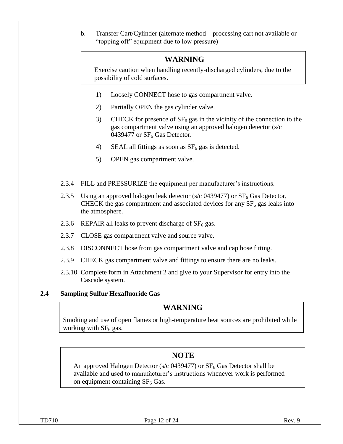b. Transfer Cart/Cylinder (alternate method – processing cart not available or "topping off" equipment due to low pressure)

# **WARNING**

Exercise caution when handling recently-discharged cylinders, due to the possibility of cold surfaces.

- 1) Loosely CONNECT hose to gas compartment valve.
- 2) Partially OPEN the gas cylinder valve.
- 3) CHECK for presence of  $SF_6$  gas in the vicinity of the connection to the gas compartment valve using an approved halogen detector (s/c 0439477 or  $SF<sub>6</sub>$  Gas Detector.
- 4) SEAL all fittings as soon as  $SF<sub>6</sub>$  gas is detected.
- 5) OPEN gas compartment valve.
- 2.3.4 FILL and PRESSURIZE the equipment per manufacturer's instructions.
- 2.3.5 Using an approved halogen leak detector (s/c 0439477) or  $SF<sub>6</sub>$  Gas Detector, CHECK the gas compartment and associated devices for any  $SF<sub>6</sub>$  gas leaks into the atmosphere.
- 2.3.6 REPAIR all leaks to prevent discharge of  $SF_6$  gas.
- 2.3.7 CLOSE gas compartment valve and source valve.
- 2.3.8 DISCONNECT hose from gas compartment valve and cap hose fitting.
- 2.3.9 CHECK gas compartment valve and fittings to ensure there are no leaks.
- 2.3.10 Complete form in Attachment 2 and give to your Supervisor for entry into the Cascade system.

## **2.4 Sampling Sulfur Hexafluoride Gas**

# **WARNING**

Smoking and use of open flames or high-temperature heat sources are prohibited while working with  $SF<sub>6</sub>$  gas.

# **NOTE**

An approved Halogen Detector (s/c 0439477) or  $SF<sub>6</sub>$  Gas Detector shall be available and used to manufacturer's instructions whenever work is performed on equipment containing  $SF<sub>6</sub>$  Gas.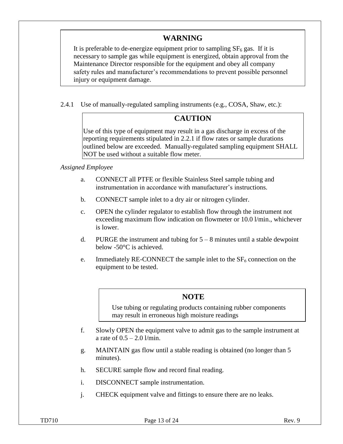# **WARNING**

It is preferable to de-energize equipment prior to sampling  $SF<sub>6</sub>$  gas. If it is necessary to sample gas while equipment is energized, obtain approval from the Maintenance Director responsible for the equipment and obey all company safety rules and manufacturer's recommendations to prevent possible personnel injury or equipment damage.

2.4.1 Use of manually-regulated sampling instruments (e.g., COSA, Shaw, etc.):

## **CAUTION**

Use of this type of equipment may result in a gas discharge in excess of the reporting requirements stipulated in 2.2.1 if flow rates or sample durations outlined below are exceeded. Manually-regulated sampling equipment SHALL NOT be used without a suitable flow meter.

### *Assigned Employee*

- a. CONNECT all PTFE or flexible Stainless Steel sample tubing and instrumentation in accordance with manufacturer's instructions.
- b. CONNECT sample inlet to a dry air or nitrogen cylinder.
- c. OPEN the cylinder regulator to establish flow through the instrument not exceeding maximum flow indication on flowmeter or 10.0 l/min., whichever is lower.
- d. PURGE the instrument and tubing for  $5 8$  minutes until a stable dewpoint below -50°C is achieved.
- e. Immediately RE-CONNECT the sample inlet to the  $SF<sub>6</sub>$  connection on the equipment to be tested.

## **NOTE**

Use tubing or regulating products containing rubber components may result in erroneous high moisture readings

- f. Slowly OPEN the equipment valve to admit gas to the sample instrument at a rate of  $0.5 - 2.0$  l/min.
- g. MAINTAIN gas flow until a stable reading is obtained (no longer than 5 minutes).
- h. SECURE sample flow and record final reading.
- i. DISCONNECT sample instrumentation.
- j. CHECK equipment valve and fittings to ensure there are no leaks.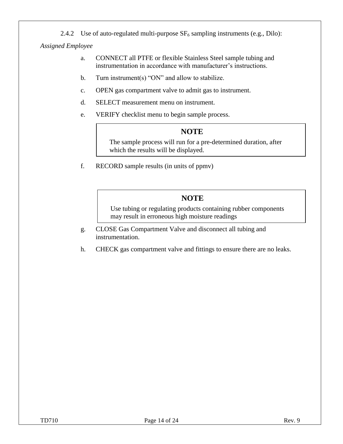2.4.2 Use of auto-regulated multi-purpose  $SF_6$  sampling instruments (e.g., Dilo):

*Assigned Employee*

- a. CONNECT all PTFE or flexible Stainless Steel sample tubing and instrumentation in accordance with manufacturer's instructions.
- b. Turn instrument(s) "ON" and allow to stabilize.
- c. OPEN gas compartment valve to admit gas to instrument.
- d. SELECT measurement menu on instrument.
- e. VERIFY checklist menu to begin sample process.

# **NOTE**

The sample process will run for a pre-determined duration, after which the results will be displayed.

f. RECORD sample results (in units of ppmv)

# **NOTE**

Use tubing or regulating products containing rubber components may result in erroneous high moisture readings

- g. CLOSE Gas Compartment Valve and disconnect all tubing and instrumentation.
- h. CHECK gas compartment valve and fittings to ensure there are no leaks.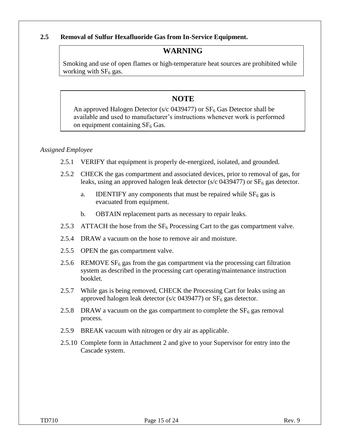### **2.5 Removal of Sulfur Hexafluoride Gas from In-Service Equipment.**

## **WARNING**

Smoking and use of open flames or high-temperature heat sources are prohibited while working with  $SF<sub>6</sub>$  gas.

## **NOTE**

An approved Halogen Detector (s/c  $0439477$ ) or  $SF<sub>6</sub>$  Gas Detector shall be available and used to manufacturer's instructions whenever work is performed on equipment containing  $SF<sub>6</sub>$  Gas.

### *Assigned Employee*

- 2.5.1 VERIFY that equipment is properly de-energized, isolated, and grounded.
- 2.5.2 CHECK the gas compartment and associated devices, prior to removal of gas, for leaks, using an approved halogen leak detector (s/c  $0439477$ ) or  $SF<sub>6</sub>$  gas detector.
	- a. IDENTIFY any components that must be repaired while  $SF<sub>6</sub>$  gas is evacuated from equipment.
	- b. OBTAIN replacement parts as necessary to repair leaks.
- 2.5.3 ATTACH the hose from the  $SF_6$  Processing Cart to the gas compartment valve.
- 2.5.4 DRAW a vacuum on the hose to remove air and moisture.
- 2.5.5 OPEN the gas compartment valve.
- 2.5.6 REMOVE  $SF_6$  gas from the gas compartment via the processing cart filtration system as described in the processing cart operating/maintenance instruction booklet.
- 2.5.7 While gas is being removed, CHECK the Processing Cart for leaks using an approved halogen leak detector (s/c 0439477) or  $SF<sub>6</sub>$  gas detector.
- 2.5.8 DRAW a vacuum on the gas compartment to complete the  $SF<sub>6</sub>$  gas removal process.
- 2.5.9 BREAK vacuum with nitrogen or dry air as applicable.
- 2.5.10 Complete form in Attachment 2 and give to your Supervisor for entry into the Cascade system.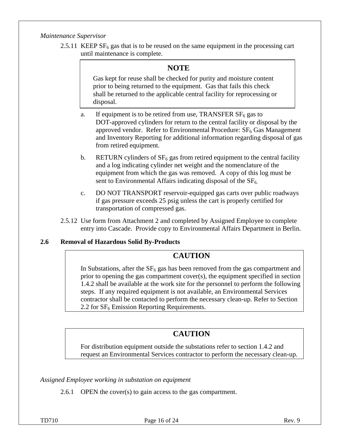### *Maintenance Supervisor*

2.5.11 KEEP  $SF<sub>6</sub>$  gas that is to be reused on the same equipment in the processing cart until maintenance is complete.

# **NOTE**

Gas kept for reuse shall be checked for purity and moisture content prior to being returned to the equipment. Gas that fails this check shall be returned to the applicable central facility for reprocessing or disposal.

- a. If equipment is to be retired from use, TRANSFER  $SF<sub>6</sub>$  gas to DOT-approved cylinders for return to the central facility or disposal by the approved vendor. Refer to Environmental Procedure:  $SF<sub>6</sub>$  Gas Management and Inventory Reporting for additional information regarding disposal of gas from retired equipment.
- b. RETURN cylinders of  $SF<sub>6</sub>$  gas from retired equipment to the central facility and a log indicating cylinder net weight and the nomenclature of the equipment from which the gas was removed. A copy of this log must be sent to Environmental Affairs indicating disposal of the  $SF<sub>6</sub>$ .
- c. DO NOT TRANSPORT reservoir-equipped gas carts over public roadways if gas pressure exceeds 25 psig unless the cart is properly certified for transportation of compressed gas.
- 2.5.12 Use form from Attachment 2 and completed by Assigned Employee to complete entry into Cascade. Provide copy to Environmental Affairs Department in Berlin.

## **2.6 Removal of Hazardous Solid By-Products**

## **CAUTION**

In Substations, after the  $SF<sub>6</sub>$  gas has been removed from the gas compartment and prior to opening the gas compartment cover(s), the equipment specified in section 1.4.2 shall be available at the work site for the personnel to perform the following steps. If any required equipment is not available, an Environmental Services contractor shall be contacted to perform the necessary clean-up. Refer to Section 2.2 for  $SF<sub>6</sub>$  Emission Reporting Requirements.

# **CAUTION**

For distribution equipment outside the substations refer to section 1.4.2 and request an Environmental Services contractor to perform the necessary clean-up.

*Assigned Employee working in substation on equipment*

2.6.1 OPEN the cover(s) to gain access to the gas compartment.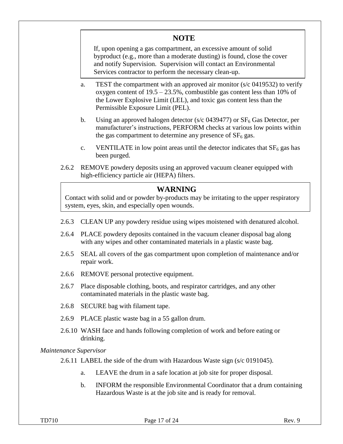# **NOTE**

If, upon opening a gas compartment, an excessive amount of solid byproduct (e.g., more than a moderate dusting) is found, close the cover and notify Supervision. Supervision will contact an Environmental Services contractor to perform the necessary clean-up.

- a. TEST the compartment with an approved air monitor  $(s/c 0.419532)$  to verify oxygen content of 19.5 – 23.5%, combustible gas content less than 10% of the Lower Explosive Limit (LEL), and toxic gas content less than the Permissible Exposure Limit (PEL).
- b. Using an approved halogen detector (s/c 0439477) or  $SF<sub>6</sub>$  Gas Detector, per manufacturer's instructions, PERFORM checks at various low points within the gas compartment to determine any presence of  $SF<sub>6</sub>$  gas.
- c. VENTILATE in low point areas until the detector indicates that  $SF<sub>6</sub>$  gas has been purged.
- 2.6.2 REMOVE powdery deposits using an approved vacuum cleaner equipped with high-efficiency particle air (HEPA) filters.

## **WARNING**

Contact with solid and or powder by-products may be irritating to the upper respiratory system, eyes, skin, and especially open wounds.

- 2.6.3 CLEAN UP any powdery residue using wipes moistened with denatured alcohol.
- 2.6.4 PLACE powdery deposits contained in the vacuum cleaner disposal bag along with any wipes and other contaminated materials in a plastic waste bag.
- 2.6.5 SEAL all covers of the gas compartment upon completion of maintenance and/or repair work.
- 2.6.6 REMOVE personal protective equipment.
- 2.6.7 Place disposable clothing, boots, and respirator cartridges, and any other contaminated materials in the plastic waste bag.
- 2.6.8 SECURE bag with filament tape.
- 2.6.9 PLACE plastic waste bag in a 55 gallon drum.
- 2.6.10 WASH face and hands following completion of work and before eating or drinking.

*Maintenance Supervisor* 

2.6.11 LABEL the side of the drum with Hazardous Waste sign (s/c 0191045).

- a. LEAVE the drum in a safe location at job site for proper disposal.
- b. INFORM the responsible Environmental Coordinator that a drum containing Hazardous Waste is at the job site and is ready for removal.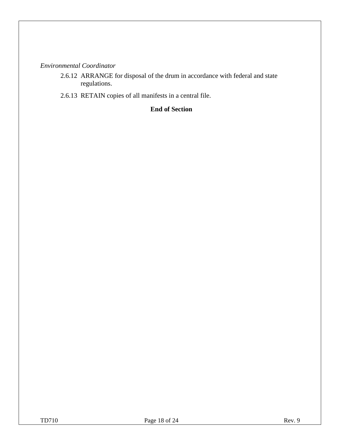## *Environmental Coordinator*

- 2.6.12 ARRANGE for disposal of the drum in accordance with federal and state regulations.
- 2.6.13 RETAIN copies of all manifests in a central file.

## **End of Section**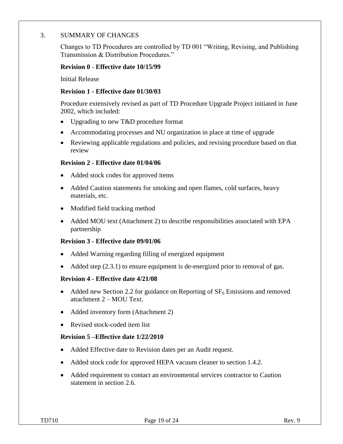### 3. SUMMARY OF CHANGES

Changes to TD Procedures are controlled by TD 001 "Writing, Revising, and Publishing Transmission & Distribution Procedures."

### **Revision 0 - Effective date 10/15/99**

Initial Release

### **Revision 1 - Effective date 01/30/03**

Procedure extensively revised as part of TD Procedure Upgrade Project initiated in June 2002, which included:

- Upgrading to new T&D procedure format
- Accommodating processes and NU organization in place at time of upgrade
- Reviewing applicable regulations and policies, and revising procedure based on that review

#### **Revision 2 - Effective date 01/04/06**

- Added stock codes for approved items
- Added Caution statements for smoking and open flames, cold surfaces, heavy materials, etc.
- Modified field tracking method
- Added MOU text (Attachment 2) to describe responsibilities associated with EPA partnership

### **Revision 3 - Effective date 09/01/06**

- Added Warning regarding filling of energized equipment
- Added step  $(2.3.1)$  to ensure equipment is de-energized prior to removal of gas.

### **Revision 4 - Effective date 4/21/08**

- Added new Section 2.2 for guidance on Reporting of  $SF<sub>6</sub>$  Emissions and removed attachment 2 – MOU Text.
- Added inventory form (Attachment 2)
- Revised stock-coded item list

### **Revision 5 –Effective date 1/22/2010**

- Added Effective date to Revision dates per an Audit request.
- Added stock code for approved HEPA vacuum cleaner to section 1.4.2.
- Added requirement to contact an environmental services contractor to Caution statement in section 2.6.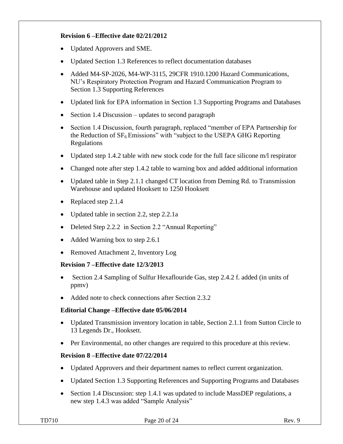## **Revision 6 –Effective date 02/21/2012**

- Updated Approvers and SME.
- Updated Section 1.3 References to reflect documentation databases
- Added M4-SP-2026, M4-WP-3115, 29CFR 1910.1200 Hazard Communications, NU's Respiratory Protection Program and Hazard Communication Program to Section 1.3 Supporting References
- Updated link for EPA information in Section 1.3 Supporting Programs and Databases
- Section 1.4 Discussion updates to second paragraph
- Section 1.4 Discussion, fourth paragraph, replaced "member of EPA Partnership for the Reduction of  $SF<sub>6</sub> Emissions''$  with "subject to the USEPA GHG Reporting Regulations
- Updated step 1.4.2 table with new stock code for the full face silicone m/l respirator
- Changed note after step 1.4.2 table to warning box and added additional information
- Updated table in Step 2.1.1 changed CT location from Deming Rd. to Transmission Warehouse and updated Hooksett to 1250 Hooksett
- Replaced step 2.1.4
- Updated table in section 2.2, step 2.2.1a
- Deleted Step 2.2.2 in Section 2.2 "Annual Reporting"
- Added Warning box to step 2.6.1
- Removed Attachment 2, Inventory Log

## **Revision 7 –Effective date 12/3/2013**

- Section 2.4 Sampling of Sulfur Hexaflouride Gas, step 2.4.2 f. added (in units of ppmv)
- Added note to check connections after Section 2.3.2

## **Editorial Change –Effective date 05/06/2014**

- Updated Transmission inventory location in table, Section 2.1.1 from Sutton Circle to 13 Legends Dr., Hooksett.
- Per Environmental, no other changes are required to this procedure at this review.

## **Revision 8 –Effective date 07/22/2014**

- Updated Approvers and their department names to reflect current organization.
- Updated Section 1.3 Supporting References and Supporting Programs and Databases
- Section 1.4 Discussion: step 1.4.1 was updated to include MassDEP regulations, a new step 1.4.3 was added "Sample Analysis"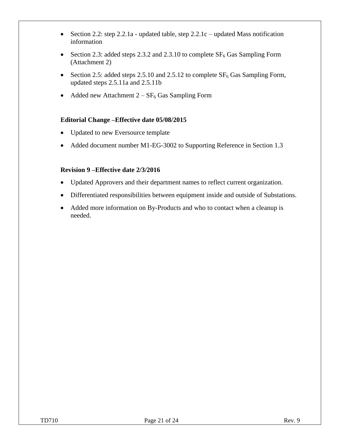- Section 2.2: step 2.2.1a updated table, step  $2.2.1c$  updated Mass notification information
- Section 2.3: added steps 2.3.2 and 2.3.10 to complete  $SF_6$  Gas Sampling Form (Attachment 2)
- Section 2.5: added steps 2.5.10 and 2.5.12 to complete  $SF_6$  Gas Sampling Form, updated steps 2.5.11a and 2.5.11b
- Added new Attachment  $2 SF_6$  Gas Sampling Form

## **Editorial Change –Effective date 05/08/2015**

- Updated to new Eversource template
- Added document number M1-EG-3002 to Supporting Reference in Section 1.3

### **Revision 9 –Effective date 2/3/2016**

- Updated Approvers and their department names to reflect current organization.
- Differentiated responsibilities between equipment inside and outside of Substations.
- Added more information on By-Products and who to contact when a cleanup is needed.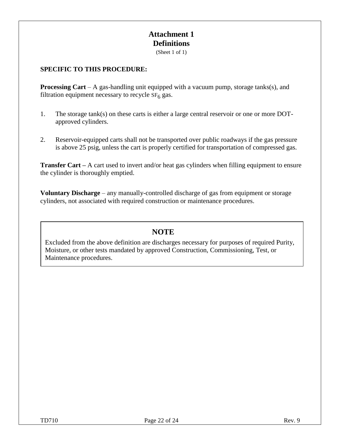# **Attachment 1 Definitions**

(Sheet 1 of 1)

### **SPECIFIC TO THIS PROCEDURE:**

**Processing Cart** – A gas-handling unit equipped with a vacuum pump, storage tanks(s), and filtration equipment necessary to recycle  $SF<sub>6</sub>$  gas.

- 1. The storage tank(s) on these carts is either a large central reservoir or one or more DOTapproved cylinders.
- 2. Reservoir-equipped carts shall not be transported over public roadways if the gas pressure is above 25 psig, unless the cart is properly certified for transportation of compressed gas.

**Transfer Cart** – A cart used to invert and/or heat gas cylinders when filling equipment to ensure the cylinder is thoroughly emptied.

**Voluntary Discharge** – any manually-controlled discharge of gas from equipment or storage cylinders, not associated with required construction or maintenance procedures.

# **NOTE**

Excluded from the above definition are discharges necessary for purposes of required Purity, Moisture, or other tests mandated by approved Construction, Commissioning, Test, or Maintenance procedures.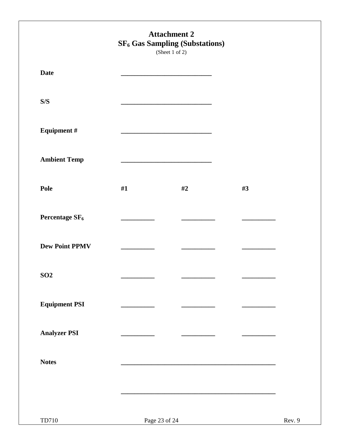|                            |               | <b>Attachment 2</b><br><b>SF<sub>6</sub></b> Gas Sampling (Substations)<br>(Sheet 1 of 2)                             |    |        |
|----------------------------|---------------|-----------------------------------------------------------------------------------------------------------------------|----|--------|
| <b>Date</b>                |               | <u> 1989 - Johann Barn, mars eta bat error</u>                                                                        |    |        |
| S/S                        |               | <u> 1980 - Johann John Stone, meil in der Stone aus der Stone aus der Stone aus der Stone aus der Stone aus der S</u> |    |        |
| <b>Equipment #</b>         |               | the control of the control of the control of the control of the control of the control of                             |    |        |
| <b>Ambient Temp</b>        |               |                                                                                                                       |    |        |
| Pole                       | #1            | #2                                                                                                                    | #3 |        |
| Percentage SF <sub>6</sub> |               |                                                                                                                       |    |        |
| <b>Dew Point PPMV</b>      |               |                                                                                                                       |    |        |
| <b>SO2</b>                 |               |                                                                                                                       |    |        |
| <b>Equipment PSI</b>       |               |                                                                                                                       |    |        |
| <b>Analyzer PSI</b>        |               |                                                                                                                       |    |        |
| <b>Notes</b>               |               |                                                                                                                       |    |        |
|                            |               |                                                                                                                       |    |        |
| TD710                      | Page 23 of 24 |                                                                                                                       |    | Rev. 9 |